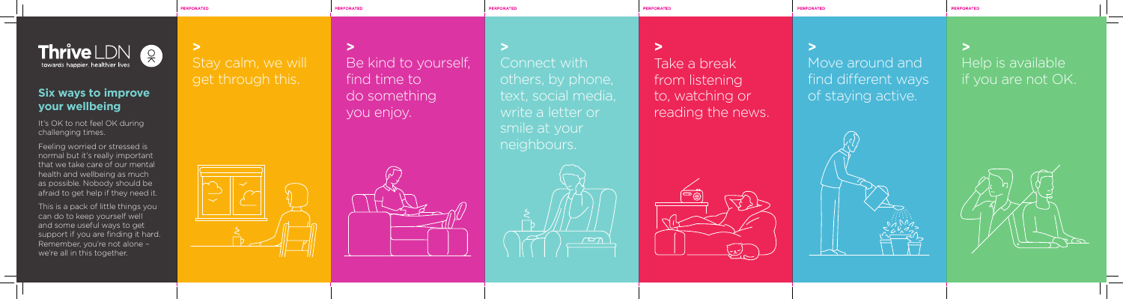PERFORATED

**PERFORATED** 

**PERFORATED** 

**PERFORATED** 



**>** Help is available if you are not OK.





**>**

PERFORATED

# Move around and find different ways of staying active.

**>** Take a break from listening to, watching or reading the news.





**PERFORATED** 

It's OK to not feel OK during challenging times.

**>** Connect with others, by phone, text, social media, write a letter or smile at your neighbours.

**>** Be kind to yourself, find time to do something you enjoy.

**>** Stay calm, we will get through this.



Feeling worried or stressed is normal but it's really important that we take care of our mental health and wellbeing as much as possible. Nobody should be afraid to get help if they need it.

This is a pack of little things you can do to keep yourself well and some useful ways to get support if you are finding it hard. Remember, you're not alone – we're all in this together.

## **Six ways to improve your wellbeing**